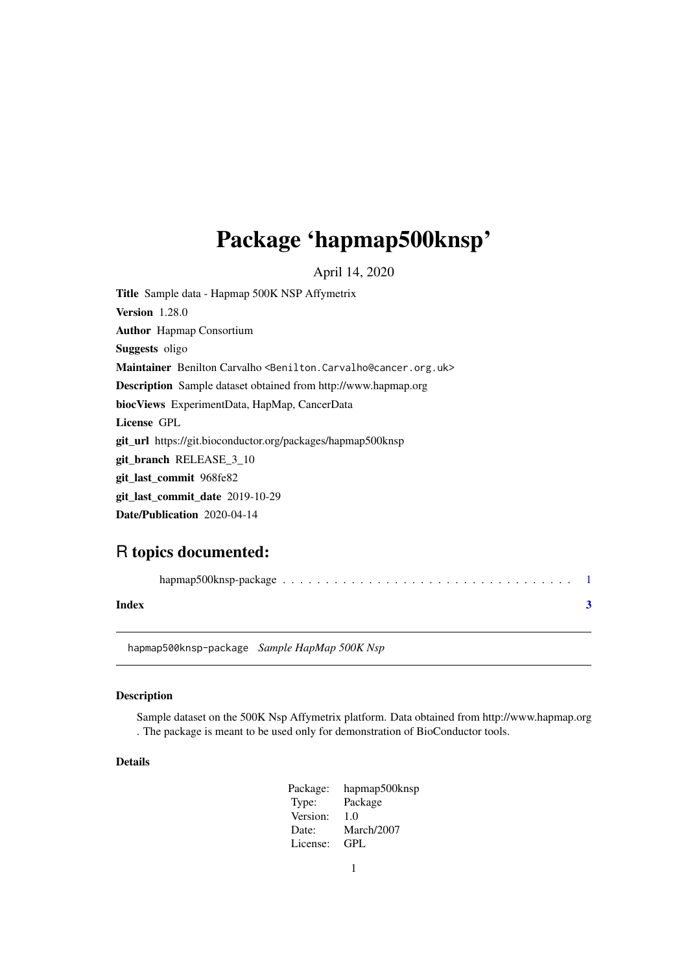## <span id="page-0-0"></span>Package 'hapmap500knsp'

April 14, 2020

Title Sample data - Hapmap 500K NSP Affymetrix Version 1.28.0 Author Hapmap Consortium Suggests oligo Maintainer Benilton Carvalho <Benilton.Carvalho@cancer.org.uk> Description Sample dataset obtained from http://www.hapmap.org biocViews ExperimentData, HapMap, CancerData License GPL git\_url https://git.bioconductor.org/packages/hapmap500knsp git\_branch RELEASE\_3\_10 git\_last\_commit 968fe82 git\_last\_commit\_date 2019-10-29 Date/Publication 2020-04-14

### R topics documented:

| Index |  |
|-------|--|

hapmap500knsp-package *Sample HapMap 500K Nsp*

#### Description

Sample dataset on the 500K Nsp Affymetrix platform. Data obtained from http://www.hapmap.org . The package is meant to be used only for demonstration of BioConductor tools.

#### Details

Package: hapmap500knsp Type: Package Version: 1.0 Date: March/2007 License: GPL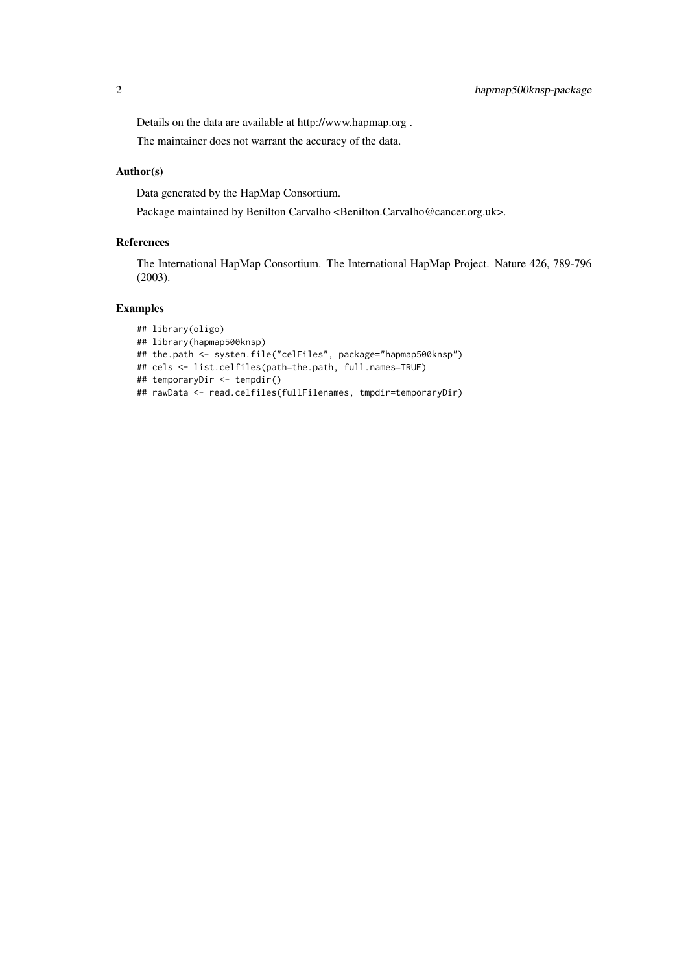Details on the data are available at http://www.hapmap.org . The maintainer does not warrant the accuracy of the data.

#### Author(s)

Data generated by the HapMap Consortium.

Package maintained by Benilton Carvalho <Benilton.Carvalho@cancer.org.uk>.

#### References

The International HapMap Consortium. The International HapMap Project. Nature 426, 789-796 (2003).

#### Examples

```
## library(oligo)
## library(hapmap500knsp)
## the.path <- system.file("celFiles", package="hapmap500knsp")
## cels <- list.celfiles(path=the.path, full.names=TRUE)
## temporaryDir <- tempdir()
## rawData <- read.celfiles(fullFilenames, tmpdir=temporaryDir)
```